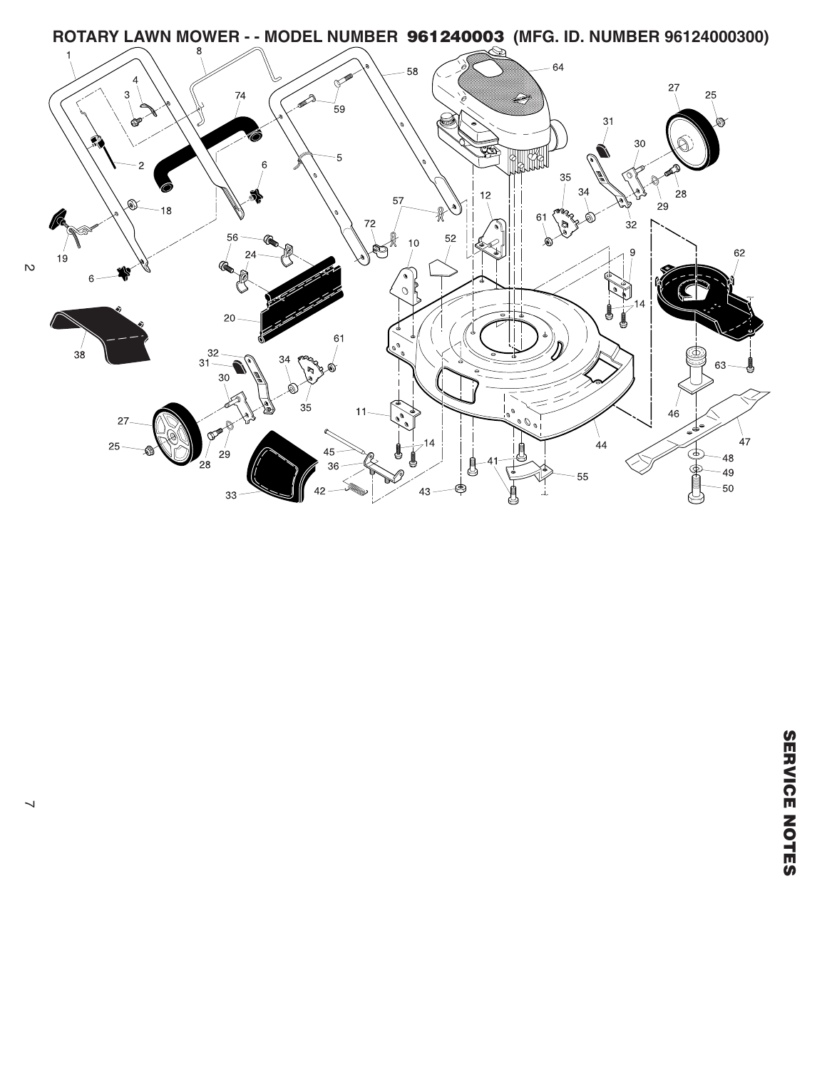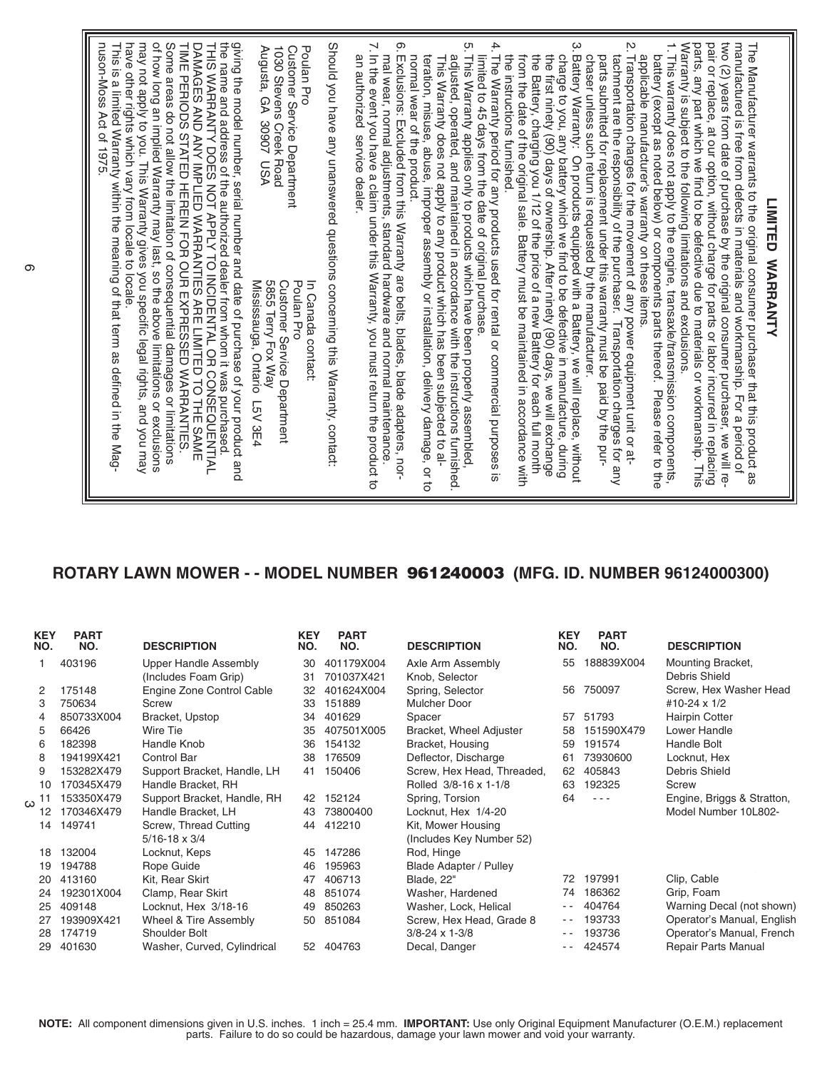## **ROTARY LAWN MOWER - - MODEL NUMBER 961240003 (MFG. ID. NUMBER 96124000300)**

| <b>KEY</b><br>NO. | <b>PART</b><br>NO. | <b>DESCRIPTION</b>                            | <b>KEY</b><br>NO. | <b>PART</b><br>NO.       | <b>DESCRIPTION</b>                  | <b>KEY</b><br>NO. | <b>PART</b><br>NO. | <b>DESCRIPTION</b>                 |
|-------------------|--------------------|-----------------------------------------------|-------------------|--------------------------|-------------------------------------|-------------------|--------------------|------------------------------------|
|                   | 403196             | Upper Handle Assembly<br>(Includes Foam Grip) | 30<br>31          | 401179X004<br>701037X421 | Axle Arm Assembly<br>Knob, Selector | 55                | 188839X004         | Mounting Bracket,<br>Debris Shield |
| 2                 | 175148             | Engine Zone Control Cable                     | 32                | 401624X004               | Spring, Selector                    | 56                | 750097             | Screw, Hex Washer Head             |
| 3                 | 750634             | Screw                                         | 33                | 151889                   | Mulcher Door                        |                   |                    | #10-24 x 1/2                       |
| 4                 | 850733X004         | Bracket, Upstop                               | 34                | 401629                   | Spacer                              | 57                | 51793              | <b>Hairpin Cotter</b>              |
| 5                 | 66426              | Wire Tie                                      | 35                | 407501X005               | Bracket, Wheel Adjuster             | 58                | 151590X479         | Lower Handle                       |
| 6                 | 182398             | Handle Knob                                   | 36                | 154132                   | Bracket, Housing                    | 59                | 191574             | Handle Bolt                        |
| 8                 | 194199X421         | <b>Control Bar</b>                            | 38                | 176509                   | Deflector, Discharge                | 61                | 73930600           | Locknut, Hex                       |
| 9                 | 153282X479         | Support Bracket, Handle, LH                   | 41                | 150406                   | Screw, Hex Head, Threaded,          | 62                | 405843             | Debris Shield                      |
| 10                | 170345X479         | Handle Bracket, RH                            |                   |                          | Rolled 3/8-16 x 1-1/8               | 63                | 192325             | Screw                              |
| -11<br>ω          | 153350X479         | Support Bracket, Handle, RH                   | 42                | 152124                   | Spring, Torsion                     | 64                | $  -$              | Engine, Briggs & Stratton,         |
| 12                | 170346X479         | Handle Bracket, LH                            | 43                | 73800400                 | Locknut, Hex 1/4-20                 |                   |                    | Model Number 10L802-               |
| 14                | 149741             | Screw, Thread Cutting                         | 44                | 412210                   | Kit, Mower Housing                  |                   |                    |                                    |
|                   |                    | $5/16 - 18 \times 3/4$                        |                   |                          | (Includes Key Number 52)            |                   |                    |                                    |
| 18                | 132004             | Locknut, Keps                                 | 45                | 147286                   | Rod, Hinge                          |                   |                    |                                    |
| 19                | 194788             | Rope Guide                                    | 46                | 195963                   | Blade Adapter / Pulley              |                   |                    |                                    |
| 20                | 413160             | Kit, Rear Skirt                               | 47                | 406713                   | Blade, 22"                          | 72                | 197991             | Clip, Cable                        |
| 24                | 192301X004         | Clamp, Rear Skirt                             | 48                | 851074                   | Washer, Hardened                    | 74                | 186362             | Grip, Foam                         |
| 25                | 409148             | Locknut, Hex 3/18-16                          | 49                | 850263                   | Washer, Lock, Helical               | $ -$              | 404764             | Warning Decal (not shown)          |
| 27                | 193909X421         | Wheel & Tire Assembly                         | 50                | 851084                   | Screw, Hex Head, Grade 8            | $ -$              | 193733             | Operator's Manual, English         |
| 28                | 174719             | Shoulder Bolt                                 |                   |                          | $3/8 - 24 \times 1 - 3/8$           | $ -$              | 193736             | Operator's Manual, French          |
| 29                | 401630             | Washer, Curved, Cylindrical                   | 52                | 404763                   | Decal, Danger                       | $ -$              | 424574             | Repair Parts Manual                |

**NOTE:** All component dimensions given in U.S. inches. 1 inch = 25.4 mm. **IMPORTANT:** Use only Original Equipment Manufacturer (O.E.M.) replacement parts. Failure to do so could be hazardous, damage your lawn mower and void your warranty.